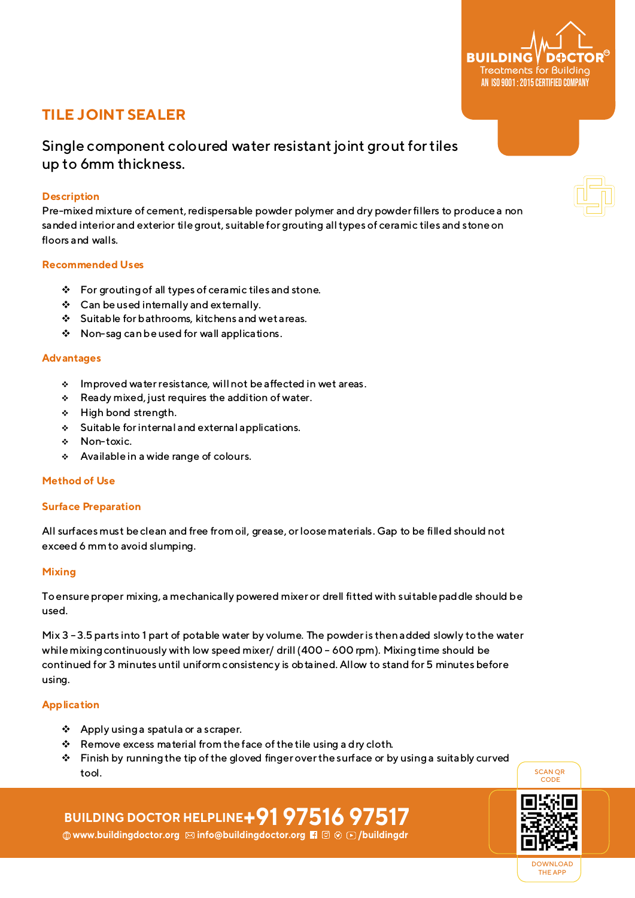# **TILE JOINT SEALER**

Single component coloured water resistant joint grout fortiles up to 6mm thickness.

# **Description**

Pre-mixed mixture of cement, redispersable powder polymer and dry powder fillers to produce a non sanded interior and exterior tilegrout, suitable for grouting all types of ceramic tiles and stone on floors and walls.

### **Recommended Uses**

- $\mathbf{\hat{P}}$  For grouting of all types of ceramic tiles and stone.
- v Can be used internally and externally.
- $\div$  Suitable for bathrooms, kitchens and wet areas.
- \* Non-sag can be used for wall applications.

### **Advantages**

- v Improved water resistance, will not be affected in wet areas.
- $\div$  Ready mixed, just requires the addition of water.
- v High bond strength.
- $\div$  Suitable for internal and external applications.
- v Non-toxic.
- \* Available in a wide range of colours.

## **Method of Use**

#### **Surface Preparation**

All surfaces must be clean and free from oil, grease, or loose materials. Gap to be filled should not exceed 6 mm to avoid slumping.

#### **Mixing**

To ensure proper mixing, a mechanically powered mixer or drell fitted with suitable paddle should be used.

Mix 3 –3.5 parts into 1 part of potable water by volume. The powder is then added slowly to the water while mixing continuously with low speed mixer/ drill (400 - 600 rpm). Mixing time should be continued for 3 minutes until uniform consistency is obtained. Allow to stand for 5 minutes before using.

#### **Application**

- v Apply using a spatula or a scraper.
- $\mathbf{\hat{P}}$  Remove excess material from the face of the tile using a dry cloth.
- $\cdot \cdot$  Finish by running the tip of the gloved finger over the surface or by using a suitably curved tool.

# **BUILDING DOCTOR HELPLINE+91 97516 97517**

**<b>
Www.buildingdoctor.org ⊠ info@buildingdoctor.org Fi** a  $\circ$  B /buildingdr



DOWNLOAD THE APP

SCAN QR CODE



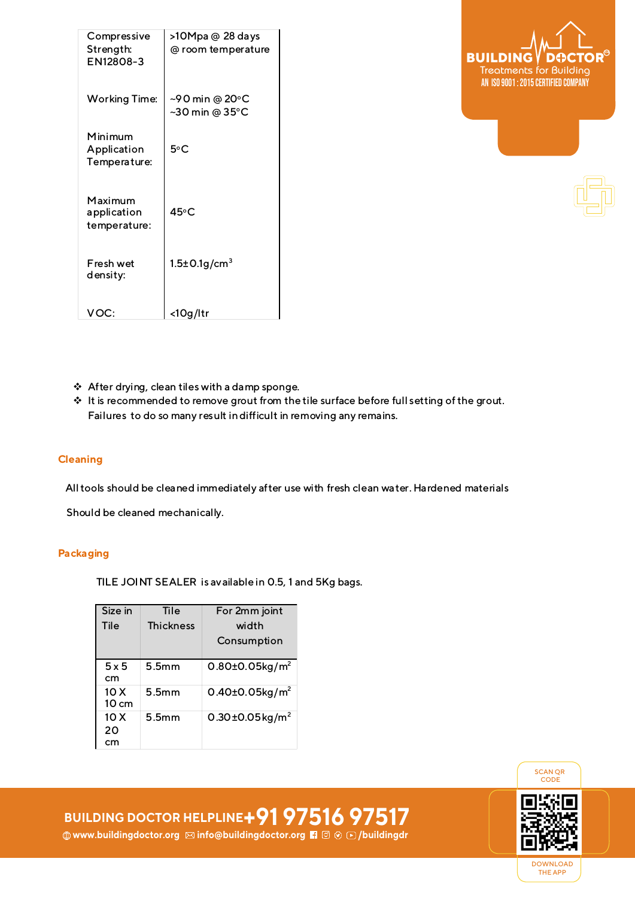| Compressive<br>Strength:<br>EN12808-3  | >10Mpa @ 28 days<br>@ room temperature                                  |
|----------------------------------------|-------------------------------------------------------------------------|
| <b>Working Time:</b>                   | ~90 min @ 20°C<br>$~50 \text{ min} \textcircled{a} 35^{\circ} \text{C}$ |
| Minimum<br>Application<br>Temperature: | 5°C                                                                     |
| Maximum<br>application<br>temperature: | 45°C                                                                    |
| Fresh wet<br>density:                  | $1.5 \pm 0.1$ g/cm <sup>3</sup>                                         |
| VOC:                                   | <10q/ltr                                                                |



- $\div$  After drying, clean tiles with a damp sponge.
- \* It is recommended to remove grout from the tile surface before full setting of the grout. Failures to do so many result in difficult in removing any remains.

#### **Cleaning**

All tools should be cleaned immediately after use with fresh clean water. Hardened materials

Should be cleaned mechanically.

# **Packaging**

TILE JOINT SEALER is available in 0.5, 1 and 5Kg bags.

| Size in                 | Tile             | For 2mm joint                     |
|-------------------------|------------------|-----------------------------------|
| Tile                    | <b>Thickness</b> | width                             |
|                         |                  | Consumption                       |
| 5x5<br>cm               | 5.5mm            | $0.80 \pm 0.05$ kg/m <sup>2</sup> |
| 10 X<br>$10 \text{ cm}$ | 5.5mm            | 0.40±0.05 $kg/m^2$                |
| 10 X<br>20<br>cm        | 5.5mm            | 0.30 $\pm$ 0.05 $\text{kg/m}^2$   |

SCAN QR CODE



DOWNLOAD THE APP

**BUILDING DOCTOR HELPLINE+91 97516 97517 www.buildingdoctor.org info@buildingdoctor.org /buildingdr**